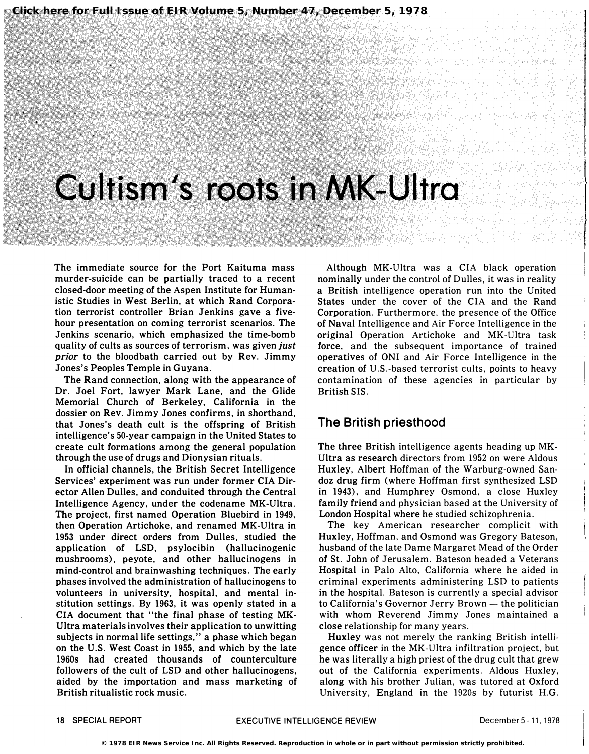## Cultism's roots in MK-Ultra

The immediate source for the Port Kaituma mass murder-suicide can be partially traced to a recent closed-door meeting of the Aspen Institute for Humanistic Studies in West Berlin, at which Rand Corporation terrorist controller Brian Jenkins gave a fivehour presentation on coming terrorist scenarios. The Jenkins scenario, which emphasized the time-bomb quality of cults as sources of terrorism, was given *just* prior to the bloodbath carried out by Rev. Jimmy Jones's Peoples Temple in Guyana.

The Rand connection, along with the appearance of Dr. Joel Fort, lawyer Mark Lane, and the Glide Memorial Church of Berkeley, California in the dossier on Rev. Jimmy Jones confirms, in shorthand, that Jones's death cult is the offspring of British intelligence's 50-year campaign in the United States to create cult formations among the general population through the use of drugs and Dionysian rituals.

In official channels, the British Secret Intelligence Services' experiment was run under former CIA Director Allen Dulles, and conduited through the Central Intelligence Agency, under the codename MK-Ultra. The project, first named Operation Bluebird in 1949, then Operation Artichoke, and renamed MK-Ultra in 1953 under direct orders from Dulles, studied the application of LSD, psylocibin (hallucinogenic mushrooms), peyote, and other hallucinogens in mind-control and brainwashing techniques. The early phases involved the administration of hallucinogens to volunteers in university, hospital, and mental institution settings. By 1963, it was openly stated in a CIA document that "the final phase of testing MK-Ultra materials involves their application to unwitting subjects in normal life settings," a phase which began on the U.S. West Coast in 1955, and which by the late 1960s had created thousands of counterculture followers of the cult of LSD and other hallucinogens, aided by the importation and mass marketing of British ritualistic rock music.

Although MK-Ultra was a CIA black operation nominally under the control of Dulles, it was in reality a British intelligence operation run into the United States under the cover of the CIA and the Rand Corporation. Furthermore. the presence of the Office of Naval Intelligence and Air Force Intelligence in the original -Operation Artichoke and MK-Ultra task force. and the subsequent importance of trained operatives of ONI and Air Force Intelligence in the creation of U.S.-based terrorist cults. points to heavy contamination of these agencies in particular by British SIS.

## The British priesthood

The three British intelligence agents heading up MK-Ultra as research directors from 1952 on were Aldous Huxley, Albert Hoffman of the Warburg-owned Sandoz drug firm (where Hoffman first synthesized LSD in 1943), and Humphrey Osmond, a close Huxley family friend and physician based at the University of London Hospital where he studied schizophrenia.

The key American researcher complicit with Huxley, Hoffman, and Osmond was Gregory Bateson, husband of the late Dame Margaret Mead of the Order of St. John of Jerusalem. Bateson headed a Veterans Hospital in Palo Alto. California where he aided in criminal experiments administering LSD to patients in the hospital. Bateson is currently a special advisor to California's Governor Jerry Brown  $-$  the politician with whom Reverend Jimmy Jones maintained a close relationship for many years.

Huxley was not merely the ranking British intelligence officer in the MK-Ultra infiltration project, but he was literally a high priest of the drug cult that grew out of the California experiments. Aldous Huxley, along with his brother Julian. was tutored at Oxford University. England in the 1920s by futurist H.G.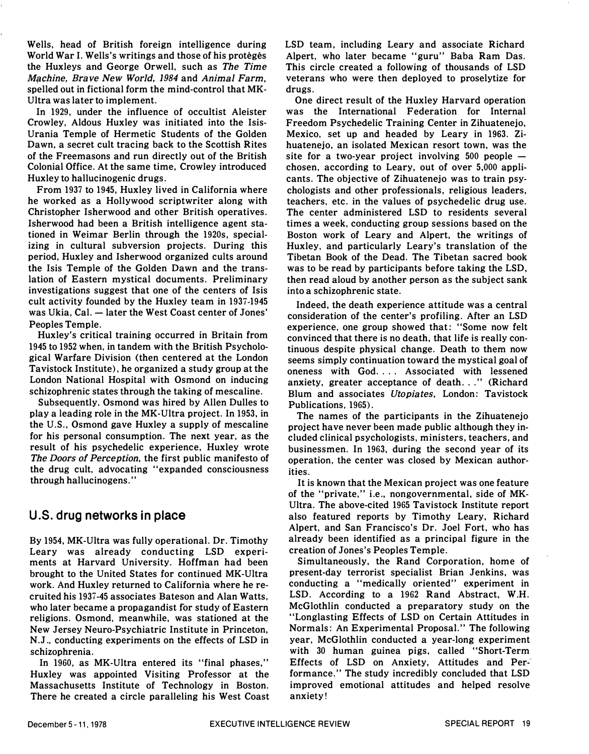Wells, head of British foreign intelligence during World War I. Wells's writings and those of his protégés the Huxleys and George Orwell, such as The Time Machine, Brave New World, 1984 and Animal Farm, spelled out in fictional form the mind-control that MK-Ultra was later to implement.

In 1929, under the influence of occultist Aleister Crowley. Aldous Huxley was initiated into the Isis-Urania Temple of Hermetic Students of the Golden Dawn. a secret cult tracing back to the Scottish Rites of the Freemasons and run directly out of the British Colonial Office. At the same time. Crowley introduced Huxley to hallucinogenic drugs.

From 1937 to 1945. Huxley lived in California where he worked as a Hollywood scriptwriter along with Christopher Isherwood and other British operatives. Isherwood had been a British intelligence agent stationed in Weimar Berlin through the 1920s, specializing in cultural subversion projects. During this period, Huxley and Isherwood organized cults around the Isis Temple of the Golden Dawn and the translation of Eastern mystical documents. Preliminary investigations suggest that one of the centers of Isis cult activity founded by the Huxley team in 1937-1945 was Ukia, Cal. - later the West Coast center of Jones' Peoples Temple.

Huxley's critical training occurred in Britain from 1945 to 1952 when. in tandem with the British Psychological Warfare Division (then centered at the London Tavistock Institute). he organized a study group at the London National Hospital with Osmond on inducing schizophrenic states through the taking of mescaline.

Subsequently. Osmond was hired by Allen Dulles to play a leading role in the MK-Ultra project. In 1953. in the U.S., Osmond gave Huxley a supply of mescaline for his personal consumption. The next year. as the result of his psychedelic experience. Huxley wrote The Doors of Perception. the first public manifesto of the drug cult. advocating "expanded consciousness through hallucinogens. "

## U.S. drug networks in place

By 1954. MK-Ultra was fully operational. Dr. Timothy Leary was already conducting LSD experiments at Harvard University. Hoffman had been brought to the United States for continued MK-Ultra work. And Huxley returned to California where he recruited his 1937-45 associates Bateson and Alan Watts. who later became a propagandist for study of Eastern religions. Osmond. meanwhile. was stationed at the New Jersey Neuro-Psychiatric Institute in Princeton. N.J .. conducting experiments on the effects of LSD in schizophrenia.

In 1960, as MK-Ultra entered its "final phases," Huxley was appointed Visiting Professor at the Massachusetts Institute of Technology in Boston. There he created a circle paralleling his West Coast LSD team. including Leary and associate Richard Alpert, who later became "guru" Baba Ram Das. This circle created a following of thousands of LSD veterans who were then deployed to proselytize for drugs.

One direct result of the Huxley Harvard operation was the International Federation for Internal Freedom Psychedelic Training Center in Zihuatenejo. Mexico. set up and headed by Leary in 1963. Zihuatenejo. an isolated Mexican resort town. was the site for a two-year project involving  $500$  people  $$ chosen. according to Leary. out of over 5.000 applicants. The objective of Zihuatenejo was to train psychologists and other professionals. religious leaders. teachers. etc. in the values of psychedelic drug use. The center administered LSD to residents several times a week. conducting group sessions based on the Boston work of Leary and Alpert. the writings of Huxley. and particularly Leary's translation of the Tibetan Book of the Dead. The Tibetan sacred book was to be read by participants before taking the LSD. then read aloud by another person as the subject sank into a schizophrenic state.

Indeed. the death experience attitude was a central consideration of the center's profiling. After an LSD experience. one group showed that: "Some now felt convinced that there is no death. that life is really continuous despite physical change. Death to them now seems simply continuation toward the mystical goal of oneness with God. ... Associated with lessened anxiety, greater acceptance of death..." (Richard Blum and associates Utopiates. London: Tavistock Publications. 1965).

The names of the participants in the Zihuatenejo project have never been made public although they included clinical psychologists. ministers. teachers. and businessmen. In 1963, during the second year of its operation. the center was closed by Mexican authorities.

It is known that the Mexican project was one feature of the "private," i.e., nongovernmental, side of MK-Ultra. The above-cited 1965 Tavistock Institute report also featured reports by Timothy Leary. Richard Alpert. and San Francisco's Dr. Joel Fort. who has already been identified as a principal figure in the creation of Jones's Peoples Temple.

Simultaneously. the Rand Corporation, home of present-day terrorist specialist Brian Jenkins. was conducting a "medically oriented" experiment in LSD. According to a 1962 Rand Abstract. W.H. McGlothlin conducted a preparatory study on the "Longlasting Effects of LSD on Certain Attitudes in Normals: An Experimental ProposaL" The following year, McGlothlin conducted a year-long experiment with 30 human guinea pigs. called "Short-Term Effects of LSD on Anxiety. Attitudes and Performance." The study incredibly concluded that LSD improved emotional attitudes and helped resolve anxiety!